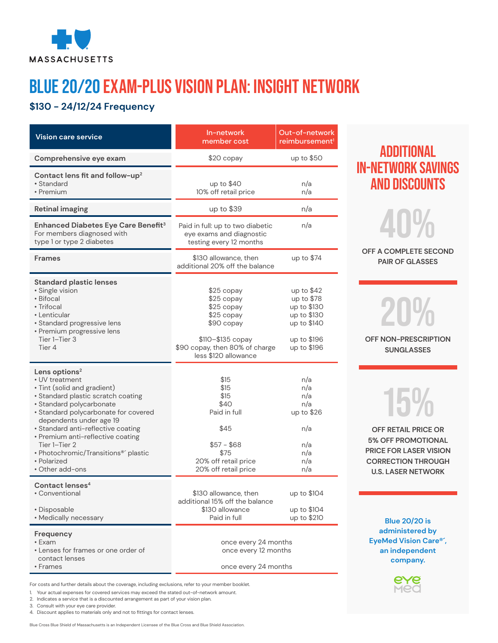

# BLUE 20/20 Exam-PLUS Vision Plan: Insight Network

### **\$130 - 24/12/24 Frequency**

| <b>Vision care service</b>                                                                                                                                                                                                                                                                                                                                                           | In-network<br>member cost                                                                                                                          | Out-of-network<br>reimbursement <sup>1</sup>                                                         |
|--------------------------------------------------------------------------------------------------------------------------------------------------------------------------------------------------------------------------------------------------------------------------------------------------------------------------------------------------------------------------------------|----------------------------------------------------------------------------------------------------------------------------------------------------|------------------------------------------------------------------------------------------------------|
| Comprehensive eye exam                                                                                                                                                                                                                                                                                                                                                               | \$20 copay                                                                                                                                         | up to \$50                                                                                           |
| Contact lens fit and follow-up <sup>2</sup><br>• Standard<br>• Premium                                                                                                                                                                                                                                                                                                               | up to $$40$<br>10% off retail price                                                                                                                | n/a<br>n/a                                                                                           |
| <b>Retinal imaging</b>                                                                                                                                                                                                                                                                                                                                                               | up to \$39                                                                                                                                         | n/a                                                                                                  |
| Enhanced Diabetes Eye Care Benefit <sup>3</sup><br>For members diagnosed with<br>type 1 or type 2 diabetes                                                                                                                                                                                                                                                                           | Paid in full: up to two diabetic<br>eye exams and diagnostic<br>testing every 12 months                                                            | n/a                                                                                                  |
| <b>Frames</b>                                                                                                                                                                                                                                                                                                                                                                        | \$130 allowance, then<br>additional 20% off the balance                                                                                            | up to \$74                                                                                           |
| <b>Standard plastic lenses</b><br>· Single vision<br>• Bifocal<br>• Trifocal<br>• Lenticular<br>· Standard progressive lens<br>• Premium progressive lens<br>Tier 1-Tier 3<br>Tier 4                                                                                                                                                                                                 | \$25 copay<br>\$25 copay<br>\$25 copay<br>\$25 copay<br>\$90 copay<br>$$110 - $135 copy$<br>\$90 copay, then 80% of charge<br>less \$120 allowance | up to $$42$<br>up to \$78<br>up to \$130<br>up to \$130<br>up to \$140<br>up to \$196<br>up to \$196 |
| Lens options <sup>2</sup><br>• UV treatment<br>· Tint (solid and gradient)<br>• Standard plastic scratch coating<br>· Standard polycarbonate<br>· Standard polycarbonate for covered<br>dependents under age 19<br>· Standard anti-reflective coating<br>• Premium anti-reflective coating<br>Tier 1-Tier 2<br>• Photochromic/Transitions® plastic<br>• Polarized<br>• Other add-ons | \$15<br>\$15<br>\$15<br>\$40<br>Paid in full<br>\$45<br>$$57 - $68$<br>\$75<br>20% off retail price<br>20% off retail price                        | n/a<br>n/a<br>n/a<br>n/a<br>up to $$26$<br>n/a<br>n/a<br>n/a<br>n/a<br>n/a                           |
| Contact lenses <sup>4</sup><br>• Conventional<br>• Disposable<br>• Medically necessary                                                                                                                                                                                                                                                                                               | \$130 allowance, then<br>additional 15% off the balance<br>\$130 allowance<br>Paid in full                                                         | up to \$104<br>up to \$104<br>up to \$210                                                            |
| Frequency<br>• Exam<br>• Lenses for frames or one order of<br>contact lenses<br>• Frames                                                                                                                                                                                                                                                                                             | once every 24 months<br>once every 12 months<br>once every 24 months                                                                               |                                                                                                      |

For costs and further details about the coverage, including exclusions, refer to your member booklet.

1. Your actual expenses for covered services may exceed the stated out-of-network amount.

3. Consult with your eye care provider.

Blue Cross Blue Shield of Massachusetts is an Independent Licensee of the Blue Cross and Blue Shield Association.

## Additional in-network savings and discounts



**OFF A COMPLETE SECOND PAIR OF GLASSES**

20% **OFF NON-PRESCRIPTION**

**SUNGLASSES**

# 15%

**OFF RETAIL PRICE OR 5% OFF PROMOTIONAL PRICE FOR LASER VISION CORRECTION THROUGH U.S. LASER NETWORK**

**Blue 20/20 is administered by EyeMed Vision Care®´, an independent company.**



<sup>2.</sup> Indicates a service that is a discounted arrangement as part of your vision plan.

<sup>4.</sup> Discount applies to materials only and not to fittings for contact lenses.